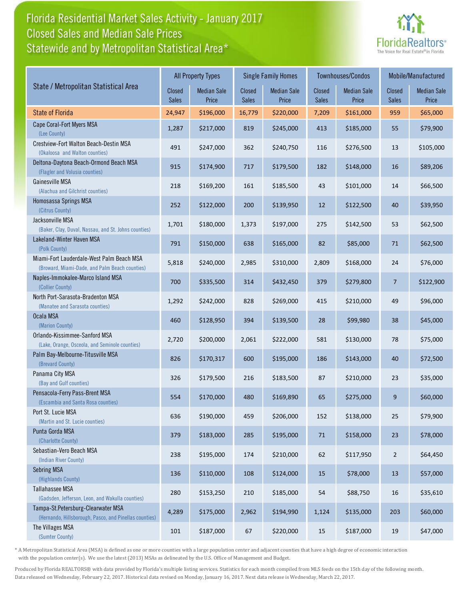## Florida Residential Market Sales Activity - January 2017 Statewide and by Metropolitan Statistical Area\* Closed Sales and Median Sale Prices



|                                                                                              | <b>All Property Types</b> |                             |                        | <b>Single Family Homes</b>  |                        | Townhouses/Condos           | Mobile/Manufactured    |                             |
|----------------------------------------------------------------------------------------------|---------------------------|-----------------------------|------------------------|-----------------------------|------------------------|-----------------------------|------------------------|-----------------------------|
| State / Metropolitan Statistical Area                                                        | Closed<br><b>Sales</b>    | <b>Median Sale</b><br>Price | Closed<br><b>Sales</b> | <b>Median Sale</b><br>Price | Closed<br><b>Sales</b> | <b>Median Sale</b><br>Price | Closed<br><b>Sales</b> | <b>Median Sale</b><br>Price |
| <b>State of Florida</b>                                                                      | 24,947                    | \$196,000                   | 16,779                 | \$220,000                   | 7,209                  | \$161,000                   | 959                    | \$65,000                    |
| Cape Coral-Fort Myers MSA<br>(Lee County)                                                    | 1,287                     | \$217,000                   | 819                    | \$245,000                   | 413                    | \$185,000                   | 55                     | \$79,900                    |
| Crestview-Fort Walton Beach-Destin MSA<br>(Okaloosa and Walton counties)                     | 491                       | \$247,000                   | 362                    | \$240,750                   | 116                    | \$276,500                   | 13                     | \$105,000                   |
| Deltona-Daytona Beach-Ormond Beach MSA<br>(Flagler and Volusia counties)                     | 915                       | \$174,900                   | 717                    | \$179,500                   | 182                    | \$148,000                   | 16                     | \$89,206                    |
| Gainesville MSA<br>(Alachua and Gilchrist counties)                                          | 218                       | \$169,200                   | 161                    | \$185,500                   | 43                     | \$101,000                   | 14                     | \$66,500                    |
| Homosassa Springs MSA<br>(Citrus County)                                                     | 252                       | \$122,000                   | 200                    | \$139,950                   | 12                     | \$122,500                   | 40                     | \$39,950                    |
| Jacksonville MSA<br>(Baker, Clay, Duval, Nassau, and St. Johns counties)                     | 1,701                     | \$180,000                   | 1,373                  | \$197,000                   | 275                    | \$142,500                   | 53                     | \$62,500                    |
| Lakeland-Winter Haven MSA<br>(Polk County)                                                   | 791                       | \$150,000                   | 638                    | \$165,000                   | 82                     | \$85,000                    | 71                     | \$62,500                    |
| Miami-Fort Lauderdale-West Palm Beach MSA<br>(Broward, Miami-Dade, and Palm Beach counties)  | 5,818                     | \$240,000                   | 2,985                  | \$310,000                   | 2,809                  | \$168,000                   | 24                     | \$76,000                    |
| Naples-Immokalee-Marco Island MSA<br>(Collier County)                                        | 700                       | \$335,500                   | 314                    | \$432,450                   | 379                    | \$279,800                   | $\overline{7}$         | \$122,900                   |
| North Port-Sarasota-Bradenton MSA<br>(Manatee and Sarasota counties)                         | 1,292                     | \$242,000                   | 828                    | \$269,000                   | 415                    | \$210,000                   | 49                     | \$96,000                    |
| Ocala MSA<br>(Marion County)                                                                 | 460                       | \$128,950                   | 394                    | \$139,500                   | 28                     | \$99,980                    | 38                     | \$45,000                    |
| Orlando-Kissimmee-Sanford MSA<br>(Lake, Orange, Osceola, and Seminole counties)              | 2,720                     | \$200,000                   | 2,061                  | \$222,000                   | 581                    | \$130,000                   | 78                     | \$75,000                    |
| Palm Bay-Melbourne-Titusville MSA<br>(Brevard County)                                        | 826                       | \$170,317                   | 600                    | \$195,000                   | 186                    | \$143,000                   | 40                     | \$72,500                    |
| Panama City MSA<br>(Bay and Gulf counties)                                                   | 326                       | \$179,500                   | 216                    | \$183,500                   | 87                     | \$210,000                   | 23                     | \$35,000                    |
| Pensacola-Ferry Pass-Brent MSA<br>(Escambia and Santa Rosa counties)                         | 554                       | \$170,000                   | 480                    | \$169,890                   | 65                     | \$275,000                   | 9                      | \$60,000                    |
| Port St. Lucie MSA<br>(Martin and St. Lucie counties)                                        | 636                       | \$190,000                   | 459                    | \$206,000                   | 152                    | \$138,000                   | 25                     | \$79,900                    |
| Punta Gorda MSA<br>(Charlotte County)                                                        | 379                       | \$183,000                   | 285                    | \$195,000                   | 71                     | \$158,000                   | 23                     | \$78,000                    |
| Sebastian-Vero Beach MSA<br>(Indian River County)                                            | 238                       | \$195,000                   | 174                    | \$210,000                   | 62                     | \$117,950                   | $\overline{2}$         | \$64,450                    |
| <b>Sebring MSA</b><br>(Highlands County)                                                     | 136                       | \$110,000                   | 108                    | \$124,000                   | 15                     | \$78,000                    | 13                     | \$57,000                    |
| Tallahassee MSA<br>(Gadsden, Jefferson, Leon, and Wakulla counties)                          | 280                       | \$153,250                   | 210                    | \$185,000                   | 54                     | \$88,750                    | 16                     | \$35,610                    |
| Tampa-St.Petersburg-Clearwater MSA<br>(Hernando, Hillsborough, Pasco, and Pinellas counties) | 4,289                     | \$175,000                   | 2,962                  | \$194,990                   | 1,124                  | \$135,000                   | 203                    | \$60,000                    |
| The Villages MSA<br>(Sumter County)                                                          | 101                       | \$187,000                   | 67                     | \$220,000                   | 15                     | \$187,000                   | 19                     | \$47,000                    |

\* A Metropolitan Statistical Area (MSA) is defined as one or more counties with a large population center and adjacent counties that have a high degree of economic interaction with the population center(s). We use the latest (2013) MSAs as delineated by the U.S. Office of Management and Budget.

Produced by Florida REALTORS® with data provided by Florida's multiple listing services. Statistics for each month compiled from MLS feeds on the 15th day of the following month. Data released on Wednesday, February 22, 2017. Historical data revised on Monday, January 16, 2017. Next data release is Wednesday, March 22, 2017.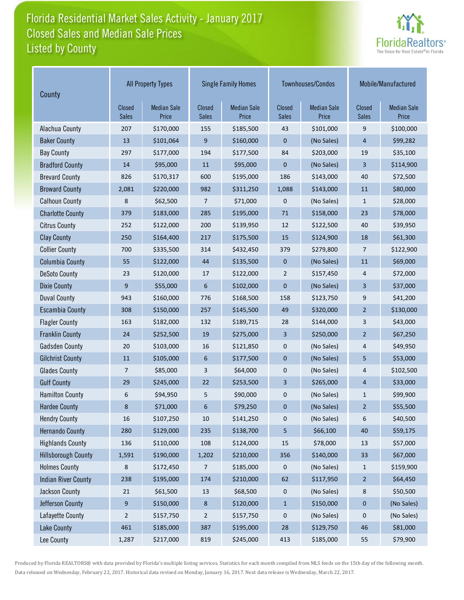## Florida Residential Market Sales Activity - January 2017 Listed by County Closed Sales and Median Sale Prices



| County                     | <b>All Property Types</b>     |                             |                        | <b>Single Family Homes</b>  |                        | Townhouses/Condos           | Mobile/Manufactured           |                             |
|----------------------------|-------------------------------|-----------------------------|------------------------|-----------------------------|------------------------|-----------------------------|-------------------------------|-----------------------------|
|                            | <b>Closed</b><br><b>Sales</b> | <b>Median Sale</b><br>Price | Closed<br><b>Sales</b> | <b>Median Sale</b><br>Price | Closed<br><b>Sales</b> | <b>Median Sale</b><br>Price | <b>Closed</b><br><b>Sales</b> | <b>Median Sale</b><br>Price |
| Alachua County             | 207                           | \$170,000                   | 155                    | \$185,500                   | 43                     | \$101,000                   | 9                             | \$100,000                   |
| <b>Baker County</b>        | 13                            | \$101,064                   | 9                      | \$160,000                   | $\mathbf 0$            | (No Sales)                  | $\overline{4}$                | \$99,282                    |
| <b>Bay County</b>          | 297                           | \$177,000                   | 194                    | \$177,500                   | 84                     | \$203,000                   | 19                            | \$35,100                    |
| <b>Bradford County</b>     | 14                            | \$95,000                    | 11                     | \$95,000                    | $\pmb{0}$              | (No Sales)                  | $\overline{3}$                | \$114,900                   |
| <b>Brevard County</b>      | 826                           | \$170,317                   | 600                    | \$195,000                   | 186                    | \$143,000                   | 40                            | \$72,500                    |
| <b>Broward County</b>      | 2,081                         | \$220,000                   | 982                    | \$311,250                   | 1,088                  | \$143,000                   | 11                            | \$80,000                    |
| <b>Calhoun County</b>      | 8                             | \$62,500                    | 7                      | \$71,000                    | 0                      | (No Sales)                  | $\mathbf{1}$                  | \$28,000                    |
| <b>Charlotte County</b>    | 379                           | \$183,000                   | 285                    | \$195,000                   | 71                     | \$158,000                   | 23                            | \$78,000                    |
| <b>Citrus County</b>       | 252                           | \$122,000                   | 200                    | \$139,950                   | 12                     | \$122,500                   | 40                            | \$39,950                    |
| <b>Clay County</b>         | 250                           | \$164,400                   | 217                    | \$175,500                   | 15                     | \$124,900                   | 18                            | \$61,300                    |
| <b>Collier County</b>      | 700                           | \$335,500                   | 314                    | \$432,450                   | 379                    | \$279,800                   | 7                             | \$122,900                   |
| <b>Columbia County</b>     | 55                            | \$122,000                   | 44                     | \$135,500                   | $\mathbf 0$            | (No Sales)                  | 11                            | \$69,000                    |
| <b>DeSoto County</b>       | 23                            | \$120,000                   | 17                     | \$122,000                   | $\overline{2}$         | \$157,450                   | 4                             | \$72,000                    |
| <b>Dixie County</b>        | 9                             | \$55,000                    | 6                      | \$102,000                   | $\mathbf 0$            | (No Sales)                  | 3                             | \$37,000                    |
| <b>Duval County</b>        | 943                           | \$160,000                   | 776                    | \$168,500                   | 158                    | \$123,750                   | 9                             | \$41,200                    |
| <b>Escambia County</b>     | 308                           | \$150,000                   | 257                    | \$145,500                   | 49                     | \$320,000                   | $\overline{2}$                | \$130,000                   |
| <b>Flagler County</b>      | 163                           | \$182,000                   | 132                    | \$189,715                   | 28                     | \$144,000                   | 3                             | \$43,000                    |
| <b>Franklin County</b>     | 24                            | \$252,500                   | 19                     | \$275,000                   | 3                      | \$250,000                   | $\overline{2}$                | \$67,250                    |
| <b>Gadsden County</b>      | 20                            | \$103,000                   | 16                     | \$121,850                   | $\mathbf 0$            | (No Sales)                  | 4                             | \$49,950                    |
| <b>Gilchrist County</b>    | 11                            | \$105,000                   | 6                      | \$177,500                   | $\mathbf 0$            | (No Sales)                  | 5                             | \$53,000                    |
| <b>Glades County</b>       | 7                             | \$85,000                    | 3                      | \$64,000                    | 0                      | (No Sales)                  | 4                             | \$102,500                   |
| <b>Gulf County</b>         | 29                            | \$245,000                   | 22                     | \$253,500                   | 3                      | \$265,000                   | $\overline{4}$                | \$33,000                    |
| <b>Hamilton County</b>     | 6                             | \$94,950                    | 5                      | \$90,000                    | 0                      | (No Sales)                  | $\mathbf{1}$                  | \$99,900                    |
| <b>Hardee County</b>       | 8                             | \$71,000                    | 6                      | \$79,250                    | $\pmb{0}$              | (No Sales)                  | $\overline{2}$                | \$55,500                    |
| <b>Hendry County</b>       | 16                            | \$107,250                   | 10                     | \$141,250                   | 0                      | (No Sales)                  | 6                             | \$40,500                    |
| <b>Hernando County</b>     | 280                           | \$129,000                   | 235                    | \$138,700                   | 5                      | \$66,100                    | $40\,$                        | \$59,175                    |
| <b>Highlands County</b>    | 136                           | \$110,000                   | 108                    | \$124,000                   | 15                     | \$78,000                    | 13                            | \$57,000                    |
| <b>Hillsborough County</b> | 1,591                         | \$190,000                   | 1,202                  | \$210,000                   | 356                    | \$140,000                   | 33                            | \$67,000                    |
| <b>Holmes County</b>       | 8                             | \$172,450                   | 7                      | \$185,000                   | 0                      | (No Sales)                  | $\mathbf{1}$                  | \$159,900                   |
| <b>Indian River County</b> | 238                           | \$195,000                   | 174                    | \$210,000                   | 62                     | \$117,950                   | $\overline{2}$                | \$64,450                    |
| Jackson County             | 21                            | \$61,500                    | 13                     | \$68,500                    | 0                      | (No Sales)                  | 8                             | \$50,500                    |
| Jefferson County           | 9                             | \$150,000                   | 8                      | \$120,000                   | $\mathbf{1}$           | \$150,000                   | $\mathbf 0$                   | (No Sales)                  |
| Lafayette County           | 2                             | \$157,750                   | 2                      | \$157,750                   | 0                      | (No Sales)                  | 0                             | (No Sales)                  |
| Lake County                | 461                           | \$185,000                   | 387                    | \$195,000                   | 28                     | \$129,750                   | 46                            | \$81,000                    |
| Lee County                 | 1,287                         | \$217,000                   | 819                    | \$245,000                   | 413                    | \$185,000                   | 55                            | \$79,900                    |

Produced by Florida REALTORS® with data provided by Florida's multiple listing services. Statistics for each month compiled from MLS feeds on the 15th day of the following month. Data released on Wednesday, February 22, 2017. Historical data revised on Monday, January 16, 2017. Next data release is Wednesday, March 22, 2017.